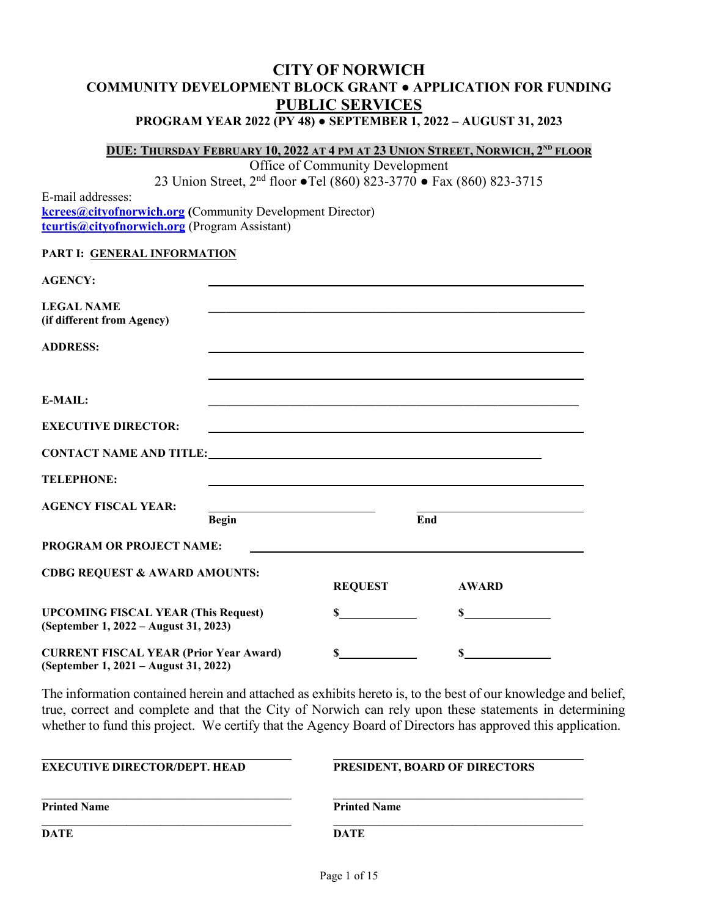# **CITY OF NORWICH COMMUNITY DEVELOPMENT BLOCK GRANT ● APPLICATION FOR FUNDING PUBLIC SERVICES**

#### **PROGRAM YEAR 2022 (PY 48) ● SEPTEMBER 1, 2022 – AUGUST 31, 2023**

**DUE: THURSDAY FEBRUARY 10, 2022 AT 4 PM AT 23 UNION STREET, NORWICH, 2ND FLOOR**

Office of Community Development

23 Union Street, 2nd floor **●**Tel (860) 823-3770 **●** Fax (860) 823-3715

E-mail addresses: **kcrees@cityofnorwich.org (**Community Development Director) **[tcurtis@cityofnorwich.org](mailto:tcurtis@cityofnorwich.org)** (Program Assistant)

#### **PART I: GENERAL INFORMATION**

| <b>AGENCY:</b>                                                                                                                                                                                                                 |                                                                                                                      |              |  |
|--------------------------------------------------------------------------------------------------------------------------------------------------------------------------------------------------------------------------------|----------------------------------------------------------------------------------------------------------------------|--------------|--|
| <b>LEGAL NAME</b><br>(if different from Agency)                                                                                                                                                                                | <u> 1989 - Johann Stoff, amerikansk politiker (d. 1989)</u>                                                          |              |  |
| <b>ADDRESS:</b>                                                                                                                                                                                                                |                                                                                                                      |              |  |
|                                                                                                                                                                                                                                |                                                                                                                      |              |  |
| $E-MAIL:$                                                                                                                                                                                                                      | <u> 1989 - Johann Stoff, amerikansk politiker (d. 1989)</u>                                                          |              |  |
| <b>EXECUTIVE DIRECTOR:</b>                                                                                                                                                                                                     | <u> 1980 - Johann Barbara, martxa alemaniar argametar a martxa a shekara a shekara a shekara a shekara a shekara</u> |              |  |
| CONTACT NAME AND TITLE: University of the state of the state of the state of the state of the state of the state of the state of the state of the state of the state of the state of the state of the state of the state of th |                                                                                                                      |              |  |
| <b>TELEPHONE:</b>                                                                                                                                                                                                              |                                                                                                                      |              |  |
| <b>AGENCY FISCAL YEAR:</b>                                                                                                                                                                                                     |                                                                                                                      |              |  |
| <b>Begin</b>                                                                                                                                                                                                                   |                                                                                                                      | End          |  |
| <b>PROGRAM OR PROJECT NAME:</b>                                                                                                                                                                                                |                                                                                                                      |              |  |
| <b>CDBG REQUEST &amp; AWARD AMOUNTS:</b>                                                                                                                                                                                       | <b>REQUEST</b>                                                                                                       | <b>AWARD</b> |  |
| <b>UPCOMING FISCAL YEAR (This Request)</b><br>(September 1, 2022 – August 31, 2023)                                                                                                                                            | $\mathbf S$                                                                                                          | S            |  |
| <b>CURRENT FISCAL YEAR (Prior Year Award)</b>                                                                                                                                                                                  | $\mathbf{s}$                                                                                                         | $\mathbf S$  |  |

**(September 1, 2021 – August 31, 2022)**

The information contained herein and attached as exhibits hereto is, to the best of our knowledge and belief, true, correct and complete and that the City of Norwich can rely upon these statements in determining whether to fund this project. We certify that the Agency Board of Directors has approved this application.

| <b>EXECUTIVE DIRECTOR/DEPT. HEAD</b> | <b>PRESIDENT, BOARD OF DIRECTORS</b> |  |  |
|--------------------------------------|--------------------------------------|--|--|
| <b>Printed Name</b>                  | <b>Printed Name</b>                  |  |  |
| DATE                                 | <b>DATE</b>                          |  |  |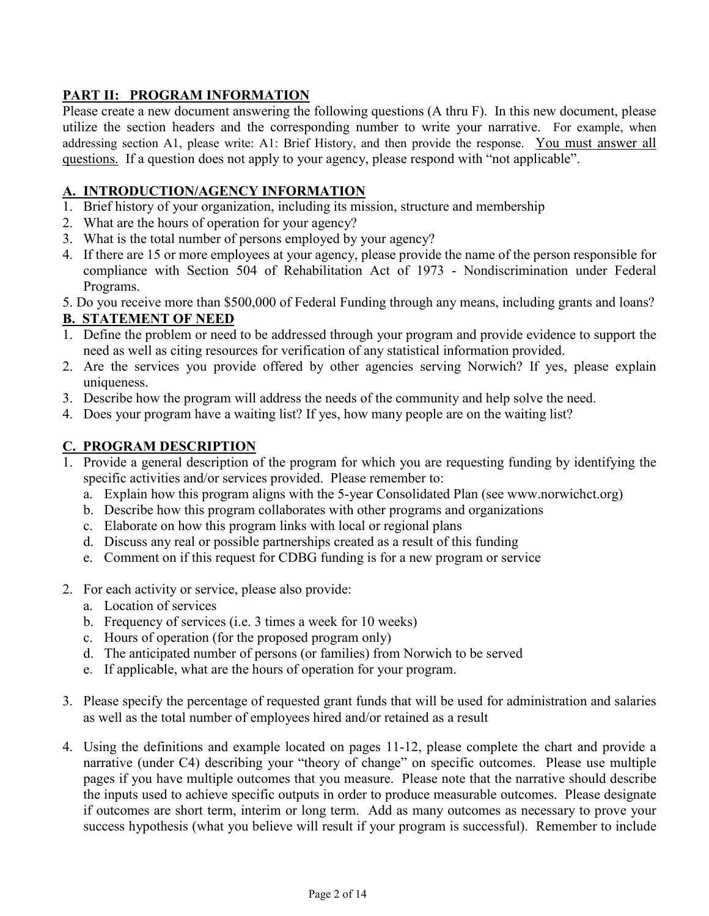# **PART II: PROGRAM INFORMATION**

Please create a new document answering the following questions (A thru F). In this new document, please utilize the section headers and the corresponding number to write your narrative. For example, when addressing section A1, please write: A1: Brief History, and then provide the response. You must answer all questions. If a question does not apply to your agency, please respond with "not applicable".

## **A. INTRODUCTION/AGENCY INFORMATION**

- 1. Brief history of your organization, including its mission, structure and membership
- 2. What are the hours of operation for your agency?
- 3. What is the total number of persons employed by your agency?
- 4. If there are 15 or more employees at your agency, please provide the name of the person responsible for compliance with Section 504 of Rehabilitation Act of 1973 - Nondiscrimination under Federal Programs.
- 5. Do you receive more than \$500,000 of Federal Funding through any means, including grants and loans?

## **B. STATEMENT OF NEED**

- 1. Define the problem or need to be addressed through your program and provide evidence to support the need as well as citing resources for verification of any statistical information provided.
- 2. Are the services you provide offered by other agencies serving Norwich? If yes, please explain uniqueness.
- 3. Describe how the program will address the needs of the community and help solve the need.
- 4. Does your program have a waiting list? If yes, how many people are on the waiting list?

## **C. PROGRAM DESCRIPTION**

- 1. Provide a general description of the program for which you are requesting funding by identifying the specific activities and/or services provided. Please remember to:
	- a. Explain how this program aligns with the 5-year Consolidated Plan (see www.norwichct.org)
	- b. Describe how this program collaborates with other programs and organizations
	- c. Elaborate on how this program links with local or regional plans
	- d. Discuss any real or possible partnerships created as a result of this funding
	- e. Comment on if this request for CDBG funding is for a new program or service
- 2. For each activity or service, please also provide:
	- a. Location of services
	- b. Frequency of services (i.e. 3 times a week for 10 weeks)
	- c. Hours of operation (for the proposed program only)
	- d. The anticipated number of persons (or families) from Norwich to be served
	- e. If applicable, what are the hours of operation for your program.
- 3. Please specify the percentage of requested grant funds that will be used for administration and salaries as well as the total number of employees hired and/or retained as a result
- 4. Using the definitions and example located on pages 11-12, please complete the chart and provide a narrative (under C4) describing your "theory of change" on specific outcomes. Please use multiple pages if you have multiple outcomes that you measure. Please note that the narrative should describe the inputs used to achieve specific outputs in order to produce measurable outcomes. Please designate if outcomes are short term, interim or long term. Add as many outcomes as necessary to prove your success hypothesis (what you believe will result if your program is successful). Remember to include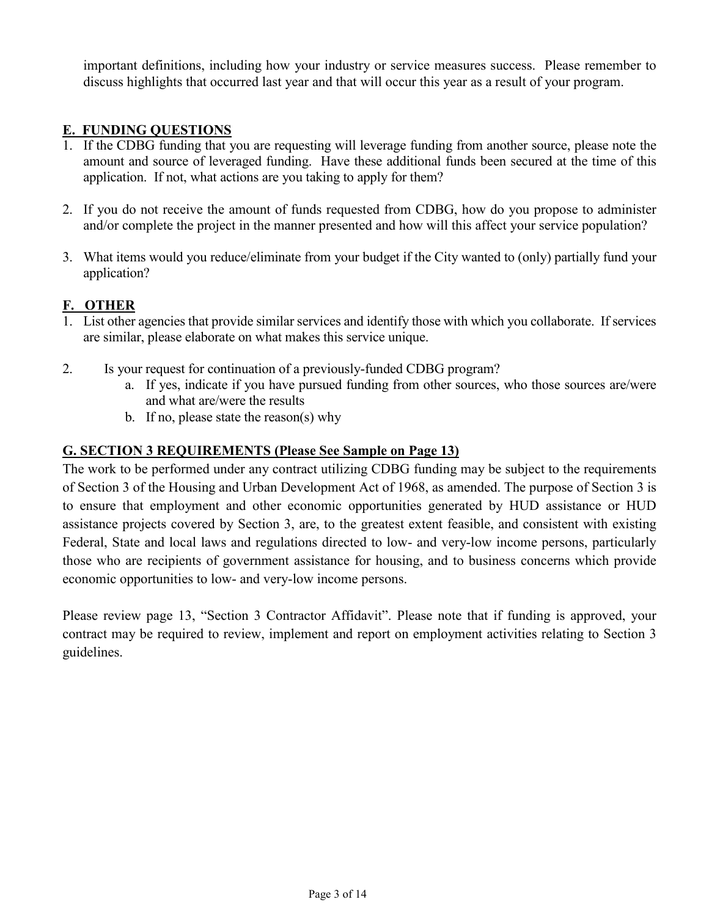important definitions, including how your industry or service measures success. Please remember to discuss highlights that occurred last year and that will occur this year as a result of your program.

## **E. FUNDING QUESTIONS**

- 1. If the CDBG funding that you are requesting will leverage funding from another source, please note the amount and source of leveraged funding. Have these additional funds been secured at the time of this application. If not, what actions are you taking to apply for them?
- 2. If you do not receive the amount of funds requested from CDBG, how do you propose to administer and/or complete the project in the manner presented and how will this affect your service population?
- 3. What items would you reduce/eliminate from your budget if the City wanted to (only) partially fund your application?

## **F. OTHER**

- 1. List other agencies that provide similar services and identify those with which you collaborate. If services are similar, please elaborate on what makes this service unique.
- 2. Is your request for continuation of a previously-funded CDBG program?
	- a. If yes, indicate if you have pursued funding from other sources, who those sources are/were and what are/were the results
	- b. If no, please state the reason(s) why

#### **G. SECTION 3 REQUIREMENTS (Please See Sample on Page 13)**

The work to be performed under any contract utilizing CDBG funding may be subject to the requirements of Section 3 of the Housing and Urban Development Act of 1968, as amended. The purpose of Section 3 is to ensure that employment and other economic opportunities generated by HUD assistance or HUD assistance projects covered by Section 3, are, to the greatest extent feasible, and consistent with existing Federal, State and local laws and regulations directed to low- and very-low income persons, particularly those who are recipients of government assistance for housing, and to business concerns which provide economic opportunities to low- and very-low income persons.

Please review page 13, "Section 3 Contractor Affidavit". Please note that if funding is approved, your contract may be required to review, implement and report on employment activities relating to Section 3 guidelines.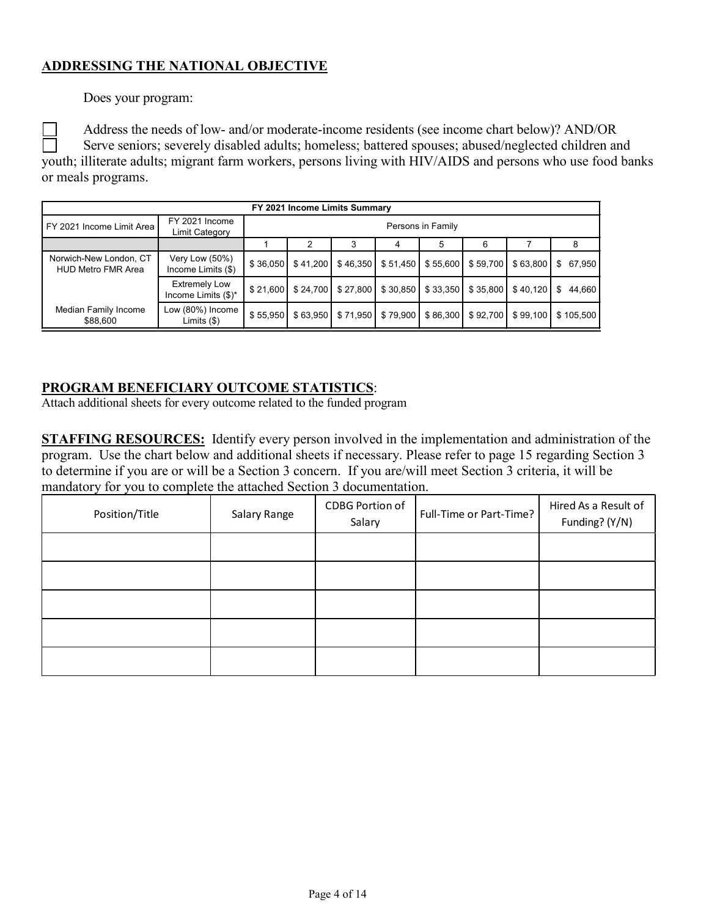## **ADDRESSING THE NATIONAL OBJECTIVE**

Does your program:

Address the needs of low- and/or moderate-income residents (see income chart below)? AND/OR Serve seniors; severely disabled adults; homeless; battered spouses; abused/neglected children and youth; illiterate adults; migrant farm workers, persons living with HIV/AIDS and persons who use food banks or meals programs.

| FY 2021 Income Limits Summary                       |                                             |                  |                   |          |          |          |          |          |              |
|-----------------------------------------------------|---------------------------------------------|------------------|-------------------|----------|----------|----------|----------|----------|--------------|
| FY 2021 Income Limit Area                           | FY 2021 Income<br>Limit Category            |                  | Persons in Family |          |          |          |          |          |              |
|                                                     |                                             | 5<br>6<br>8<br>4 |                   |          |          |          |          |          |              |
| Norwich-New London, CT<br><b>HUD Metro FMR Area</b> | Very Low (50%)<br>Income Limits (\$)        | \$36,050         | \$41.200          | \$46,350 | \$51,450 | \$55,600 | \$59,700 | \$63,800 | 67,950<br>\$ |
|                                                     | <b>Extremely Low</b><br>Income Limits (\$)* | \$21,600         | \$24.700          | \$27,800 | \$30,850 | \$33,350 | \$35,800 | \$40.120 | 44,660<br>\$ |
| Median Family Income<br>\$88,600                    | Low (80%) Income<br>Limits $(\$)$           | \$55,950         | \$63.950          | \$71,950 | \$79,900 | \$86,300 | \$92,700 | \$99,100 | \$105,500    |

## **PROGRAM BENEFICIARY OUTCOME STATISTICS**:

Attach additional sheets for every outcome related to the funded program

**STAFFING RESOURCES:** Identify every person involved in the implementation and administration of the program. Use the chart below and additional sheets if necessary. Please refer to page 15 regarding Section 3 to determine if you are or will be a Section 3 concern. If you are/will meet Section 3 criteria, it will be mandatory for you to complete the attached Section 3 documentation.

| Position/Title | Salary Range | CDBG Portion of<br>Salary | Full-Time or Part-Time? | Hired As a Result of<br>Funding? (Y/N) |
|----------------|--------------|---------------------------|-------------------------|----------------------------------------|
|                |              |                           |                         |                                        |
|                |              |                           |                         |                                        |
|                |              |                           |                         |                                        |
|                |              |                           |                         |                                        |
|                |              |                           |                         |                                        |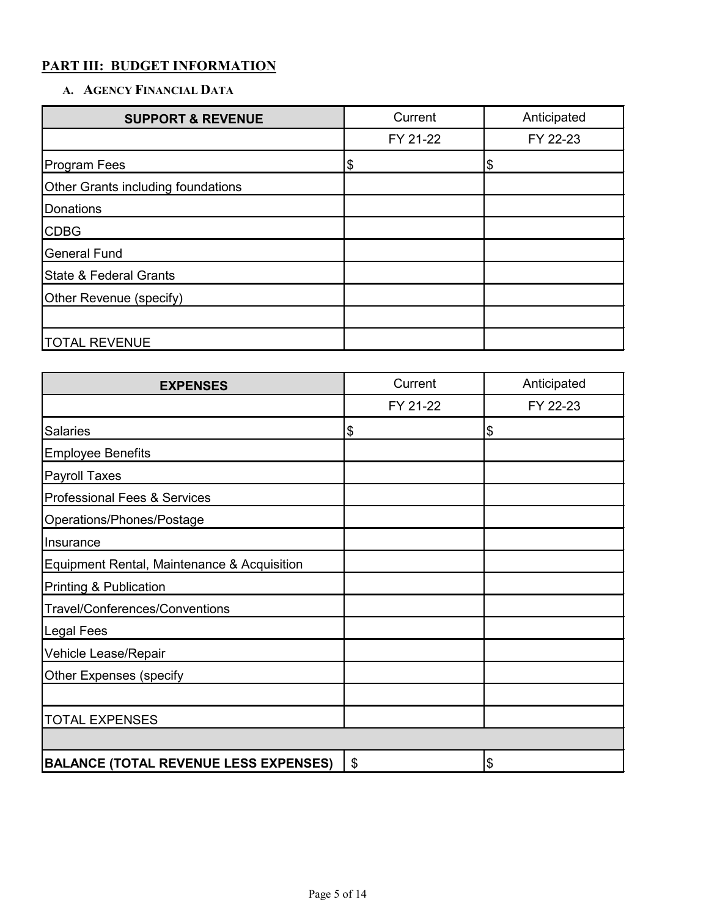# **PART III: BUDGET INFORMATION**

## **A. AGENCY FINANCIAL DATA**

| <b>SUPPORT &amp; REVENUE</b>       | Current                    | Anticipated |
|------------------------------------|----------------------------|-------------|
|                                    | FY 21-22                   | FY 22-23    |
| <b>Program Fees</b>                | $\boldsymbol{\mathsf{\$}}$ | \$          |
| Other Grants including foundations |                            |             |
| Donations                          |                            |             |
| <b>CDBG</b>                        |                            |             |
| <b>General Fund</b>                |                            |             |
| <b>State &amp; Federal Grants</b>  |                            |             |
| Other Revenue (specify)            |                            |             |
|                                    |                            |             |
| <b>TOTAL REVENUE</b>               |                            |             |

| <b>EXPENSES</b>                              | Current  | Anticipated |
|----------------------------------------------|----------|-------------|
|                                              | FY 21-22 | FY 22-23    |
| <b>Salaries</b>                              | Ι\$      | \$          |
| <b>Employee Benefits</b>                     |          |             |
| Payroll Taxes                                |          |             |
| <b>Professional Fees &amp; Services</b>      |          |             |
| Operations/Phones/Postage                    |          |             |
| Insurance                                    |          |             |
| Equipment Rental, Maintenance & Acquisition  |          |             |
| <b>Printing &amp; Publication</b>            |          |             |
| <b>Travel/Conferences/Conventions</b>        |          |             |
| Legal Fees                                   |          |             |
| Vehicle Lease/Repair                         |          |             |
| <b>Other Expenses (specify</b>               |          |             |
|                                              |          |             |
| <b>TOTAL EXPENSES</b>                        |          |             |
|                                              |          |             |
| <b>BALANCE (TOTAL REVENUE LESS EXPENSES)</b> | \$       | \$          |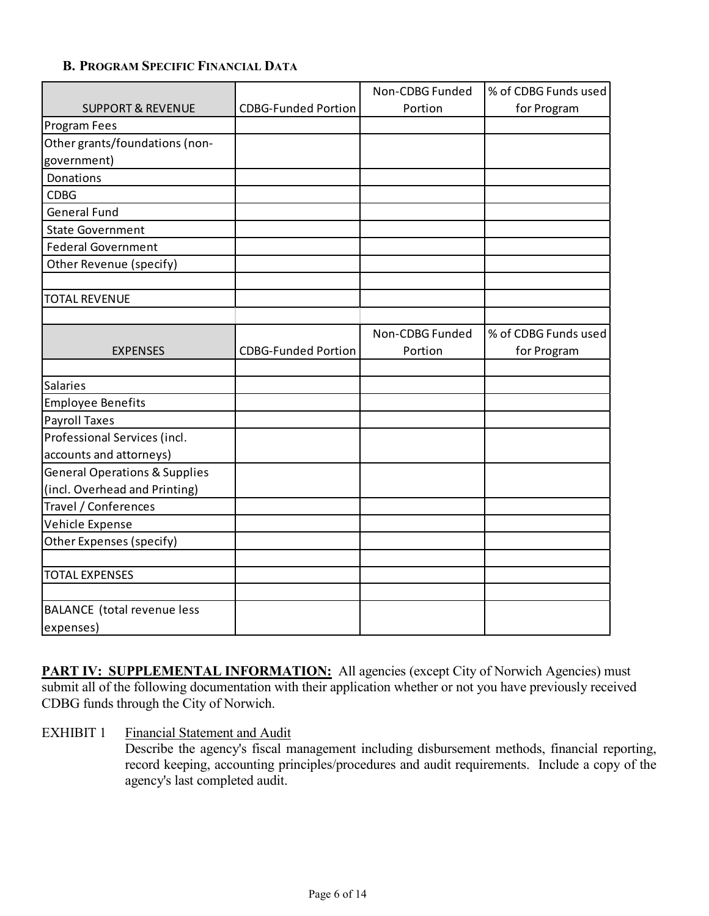#### **B. PROGRAM SPECIFIC FINANCIAL DATA**

|                                          |                            | Non-CDBG Funded | % of CDBG Funds used |
|------------------------------------------|----------------------------|-----------------|----------------------|
| <b>SUPPORT &amp; REVENUE</b>             | <b>CDBG-Funded Portion</b> | Portion         | for Program          |
| Program Fees                             |                            |                 |                      |
| Other grants/foundations (non-           |                            |                 |                      |
| government)                              |                            |                 |                      |
| Donations                                |                            |                 |                      |
| <b>CDBG</b>                              |                            |                 |                      |
| <b>General Fund</b>                      |                            |                 |                      |
| <b>State Government</b>                  |                            |                 |                      |
| <b>Federal Government</b>                |                            |                 |                      |
| Other Revenue (specify)                  |                            |                 |                      |
|                                          |                            |                 |                      |
| <b>TOTAL REVENUE</b>                     |                            |                 |                      |
|                                          |                            |                 |                      |
|                                          |                            | Non-CDBG Funded | % of CDBG Funds used |
| <b>EXPENSES</b>                          | <b>CDBG-Funded Portion</b> | Portion         | for Program          |
|                                          |                            |                 |                      |
| <b>Salaries</b>                          |                            |                 |                      |
| <b>Employee Benefits</b>                 |                            |                 |                      |
| <b>Payroll Taxes</b>                     |                            |                 |                      |
| Professional Services (incl.             |                            |                 |                      |
| accounts and attorneys)                  |                            |                 |                      |
| <b>General Operations &amp; Supplies</b> |                            |                 |                      |
| (incl. Overhead and Printing)            |                            |                 |                      |
| Travel / Conferences                     |                            |                 |                      |
| Vehicle Expense                          |                            |                 |                      |
| Other Expenses (specify)                 |                            |                 |                      |
|                                          |                            |                 |                      |
| <b>TOTAL EXPENSES</b>                    |                            |                 |                      |
|                                          |                            |                 |                      |
| <b>BALANCE</b> (total revenue less       |                            |                 |                      |
| expenses)                                |                            |                 |                      |

**PART IV: SUPPLEMENTAL INFORMATION:** All agencies (except City of Norwich Agencies) must submit all of the following documentation with their application whether or not you have previously received CDBG funds through the City of Norwich.

#### EXHIBIT 1 Financial Statement and Audit

Describe the agency's fiscal management including disbursement methods, financial reporting, record keeping, accounting principles/procedures and audit requirements. Include a copy of the agency's last completed audit.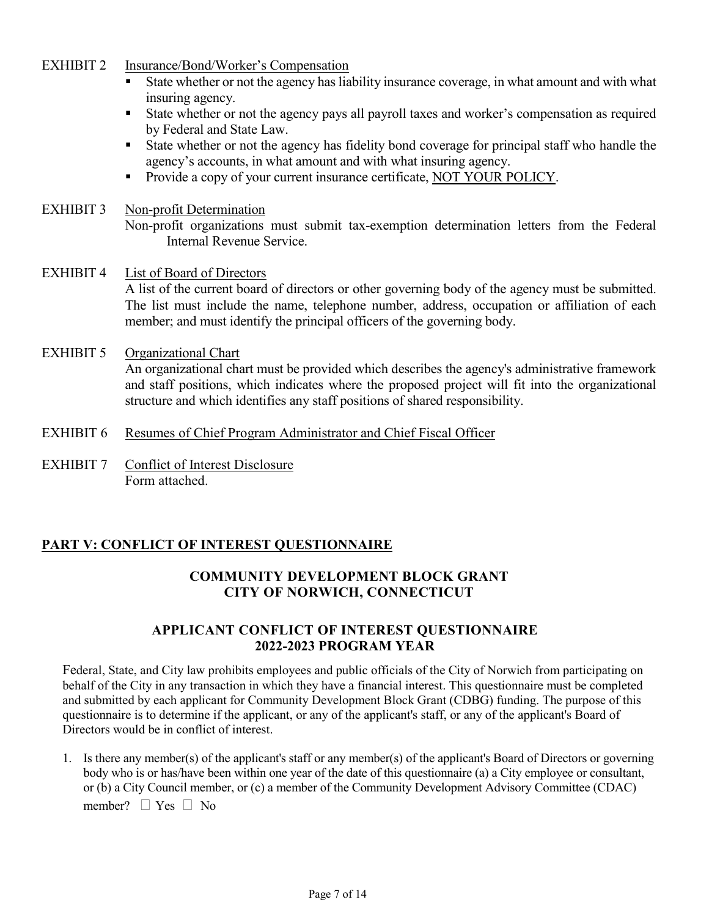#### EXHIBIT 2 Insurance/Bond/Worker's Compensation

- State whether or not the agency has liability insurance coverage, in what amount and with what insuring agency.
- State whether or not the agency pays all payroll taxes and worker's compensation as required by Federal and State Law.
- State whether or not the agency has fidelity bond coverage for principal staff who handle the agency's accounts, in what amount and with what insuring agency.
- **Provide a copy of your current insurance certificate, NOT YOUR POLICY.**

#### EXHIBIT 3 Non-profit Determination

Non-profit organizations must submit tax-exemption determination letters from the Federal Internal Revenue Service.

#### EXHIBIT 4 List of Board of Directors A list of the current board of directors or other governing body of the agency must be submitted. The list must include the name, telephone number, address, occupation or affiliation of each member; and must identify the principal officers of the governing body.

#### EXHIBIT 5 Organizational Chart An organizational chart must be provided which describes the agency's administrative framework and staff positions, which indicates where the proposed project will fit into the organizational structure and which identifies any staff positions of shared responsibility.

- EXHIBIT 6 Resumes of Chief Program Administrator and Chief Fiscal Officer
- EXHIBIT 7 Conflict of Interest Disclosure Form attached.

#### **PART V: CONFLICT OF INTEREST QUESTIONNAIRE**

#### **COMMUNITY DEVELOPMENT BLOCK GRANT CITY OF NORWICH, CONNECTICUT**

#### **APPLICANT CONFLICT OF INTEREST QUESTIONNAIRE 2022-2023 PROGRAM YEAR**

Federal, State, and City law prohibits employees and public officials of the City of Norwich from participating on behalf of the City in any transaction in which they have a financial interest. This questionnaire must be completed and submitted by each applicant for Community Development Block Grant (CDBG) funding. The purpose of this questionnaire is to determine if the applicant, or any of the applicant's staff, or any of the applicant's Board of Directors would be in conflict of interest.

1. Is there any member(s) of the applicant's staff or any member(s) of the applicant's Board of Directors or governing body who is or has/have been within one year of the date of this questionnaire (a) a City employee or consultant, or (b) a City Council member, or (c) a member of the Community Development Advisory Committee (CDAC) member?  $\Box$  Yes  $\Box$  No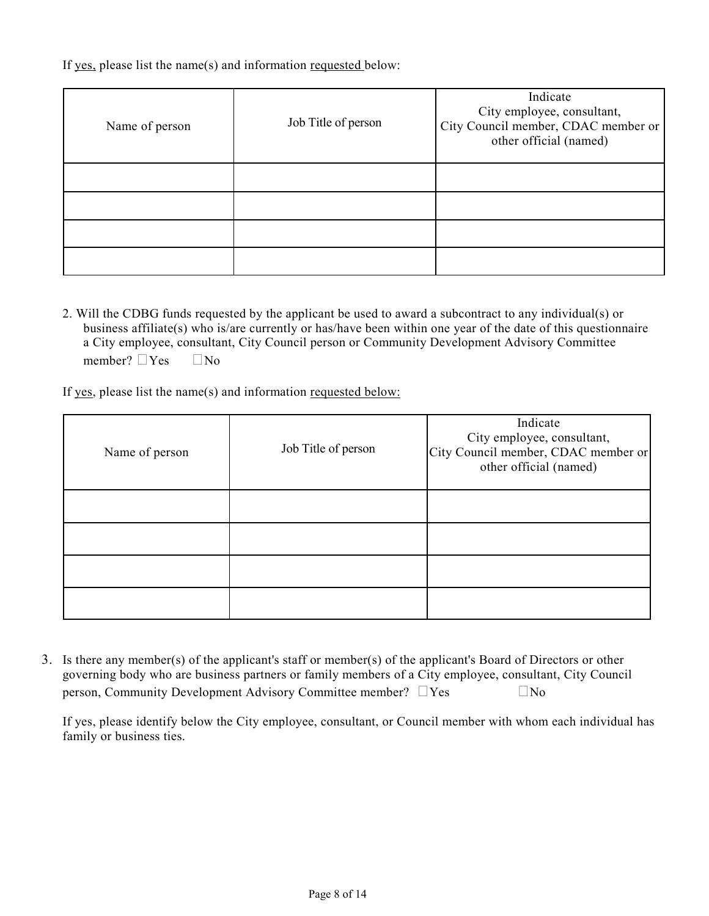If yes, please list the name(s) and information requested below:

| Name of person | Job Title of person | Indicate<br>City employee, consultant,<br>City Council member, CDAC member or<br>other official (named) |
|----------------|---------------------|---------------------------------------------------------------------------------------------------------|
|                |                     |                                                                                                         |
|                |                     |                                                                                                         |
|                |                     |                                                                                                         |
|                |                     |                                                                                                         |

2. Will the CDBG funds requested by the applicant be used to award a subcontract to any individual(s) or business affiliate(s) who is/are currently or has/have been within one year of the date of this questionnaire a City employee, consultant, City Council person or Community Development Advisory Committee member?  $\Box$  Yes  $\Box$  No

If yes, please list the name(s) and information requested below:

| Name of person | Job Title of person | Indicate<br>City employee, consultant,<br>City Council member, CDAC member or<br>other official (named) |
|----------------|---------------------|---------------------------------------------------------------------------------------------------------|
|                |                     |                                                                                                         |
|                |                     |                                                                                                         |
|                |                     |                                                                                                         |
|                |                     |                                                                                                         |

3. Is there any member(s) of the applicant's staff or member(s) of the applicant's Board of Directors or other governing body who are business partners or family members of a City employee, consultant, City Council person, Community Development Advisory Committee member?  $\Box$  Yes  $\Box$  No

If yes, please identify below the City employee, consultant, or Council member with whom each individual has family or business ties.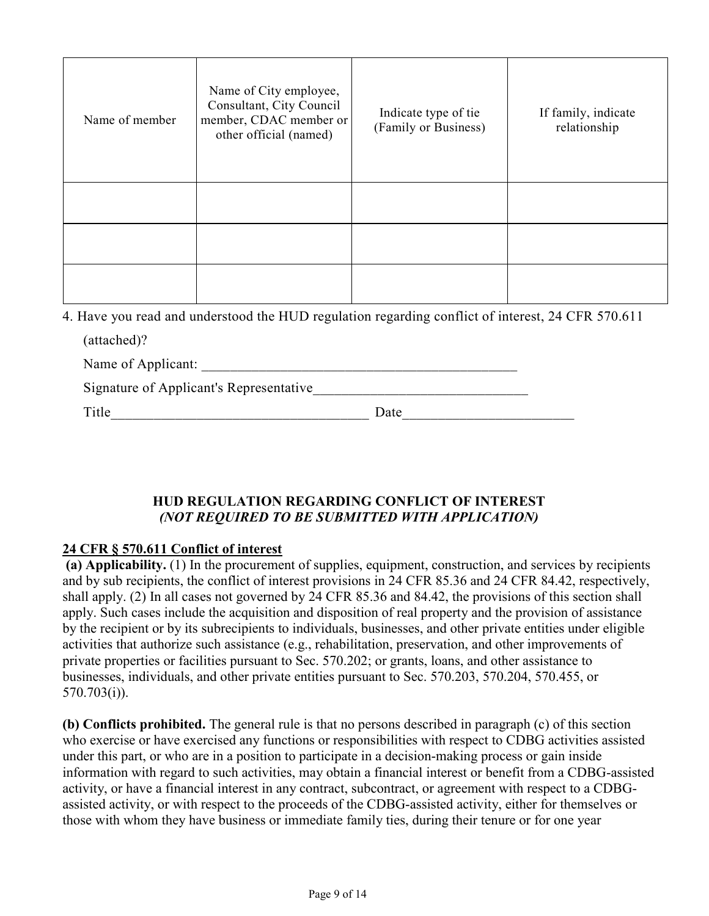| Name of member | Name of City employee,<br>Consultant, City Council<br>member, CDAC member or<br>other official (named) | Indicate type of tie<br>(Family or Business) | If family, indicate<br>relationship |
|----------------|--------------------------------------------------------------------------------------------------------|----------------------------------------------|-------------------------------------|
|                |                                                                                                        |                                              |                                     |
|                |                                                                                                        |                                              |                                     |
|                |                                                                                                        |                                              |                                     |

4. Have you read and understood the HUD regulation regarding conflict of interest, 24 CFR 570.611

| (attached)?                             |      |
|-----------------------------------------|------|
| Name of Applicant:                      |      |
| Signature of Applicant's Representative |      |
| Title                                   | Date |
|                                         |      |

## **HUD REGULATION REGARDING CONFLICT OF INTEREST**  *(NOT REQUIRED TO BE SUBMITTED WITH APPLICATION)*

## **24 CFR § 570.611 Conflict of interest**

**(a) Applicability.** (1) In the procurement of supplies, equipment, construction, and services by recipients and by sub recipients, the conflict of interest provisions in 24 CFR 85.36 and 24 CFR 84.42, respectively, shall apply. (2) In all cases not governed by 24 CFR 85.36 and 84.42, the provisions of this section shall apply. Such cases include the acquisition and disposition of real property and the provision of assistance by the recipient or by its subrecipients to individuals, businesses, and other private entities under eligible activities that authorize such assistance (e.g., rehabilitation, preservation, and other improvements of private properties or facilities pursuant to Sec. 570.202; or grants, loans, and other assistance to businesses, individuals, and other private entities pursuant to Sec. 570.203, 570.204, 570.455, or 570.703(i)).

**(b) Conflicts prohibited.** The general rule is that no persons described in paragraph (c) of this section who exercise or have exercised any functions or responsibilities with respect to CDBG activities assisted under this part, or who are in a position to participate in a decision-making process or gain inside information with regard to such activities, may obtain a financial interest or benefit from a CDBG-assisted activity, or have a financial interest in any contract, subcontract, or agreement with respect to a CDBGassisted activity, or with respect to the proceeds of the CDBG-assisted activity, either for themselves or those with whom they have business or immediate family ties, during their tenure or for one year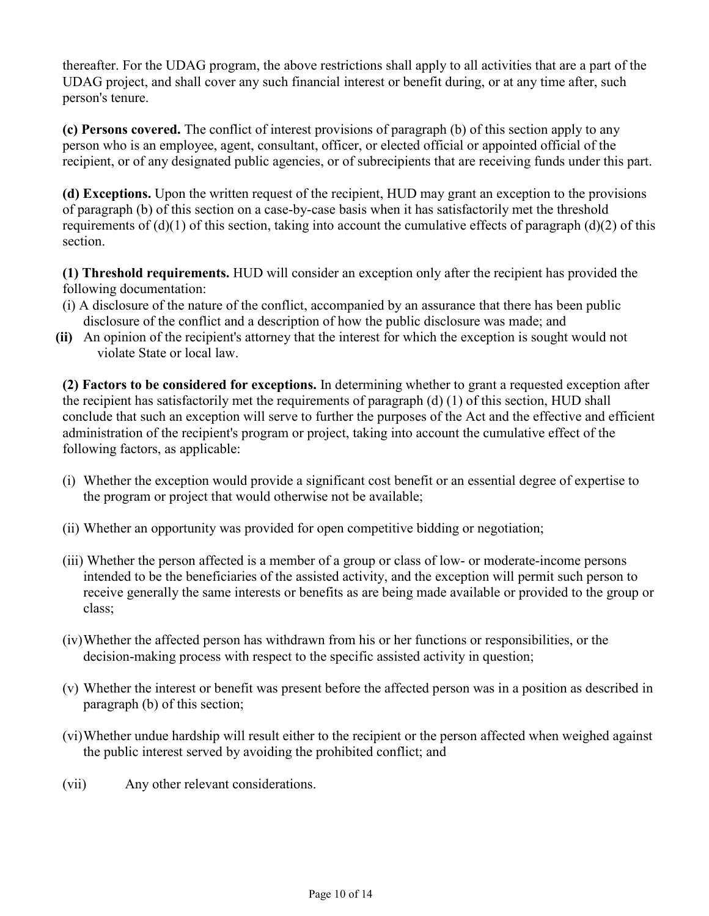thereafter. For the UDAG program, the above restrictions shall apply to all activities that are a part of the UDAG project, and shall cover any such financial interest or benefit during, or at any time after, such person's tenure.

**(c) Persons covered.** The conflict of interest provisions of paragraph (b) of this section apply to any person who is an employee, agent, consultant, officer, or elected official or appointed official of the recipient, or of any designated public agencies, or of subrecipients that are receiving funds under this part.

**(d) Exceptions.** Upon the written request of the recipient, HUD may grant an exception to the provisions of paragraph (b) of this section on a case-by-case basis when it has satisfactorily met the threshold requirements of (d)(1) of this section, taking into account the cumulative effects of paragraph (d)(2) of this section.

**(1) Threshold requirements.** HUD will consider an exception only after the recipient has provided the following documentation:

- (i) A disclosure of the nature of the conflict, accompanied by an assurance that there has been public disclosure of the conflict and a description of how the public disclosure was made; and
- **(ii)** An opinion of the recipient's attorney that the interest for which the exception is sought would not violate State or local law.

**(2) Factors to be considered for exceptions.** In determining whether to grant a requested exception after the recipient has satisfactorily met the requirements of paragraph (d) (1) of this section, HUD shall conclude that such an exception will serve to further the purposes of the Act and the effective and efficient administration of the recipient's program or project, taking into account the cumulative effect of the following factors, as applicable:

- (i) Whether the exception would provide a significant cost benefit or an essential degree of expertise to the program or project that would otherwise not be available;
- (ii) Whether an opportunity was provided for open competitive bidding or negotiation;
- (iii) Whether the person affected is a member of a group or class of low- or moderate-income persons intended to be the beneficiaries of the assisted activity, and the exception will permit such person to receive generally the same interests or benefits as are being made available or provided to the group or class;
- (iv)Whether the affected person has withdrawn from his or her functions or responsibilities, or the decision-making process with respect to the specific assisted activity in question;
- (v) Whether the interest or benefit was present before the affected person was in a position as described in paragraph (b) of this section;
- (vi)Whether undue hardship will result either to the recipient or the person affected when weighed against the public interest served by avoiding the prohibited conflict; and
- (vii) Any other relevant considerations.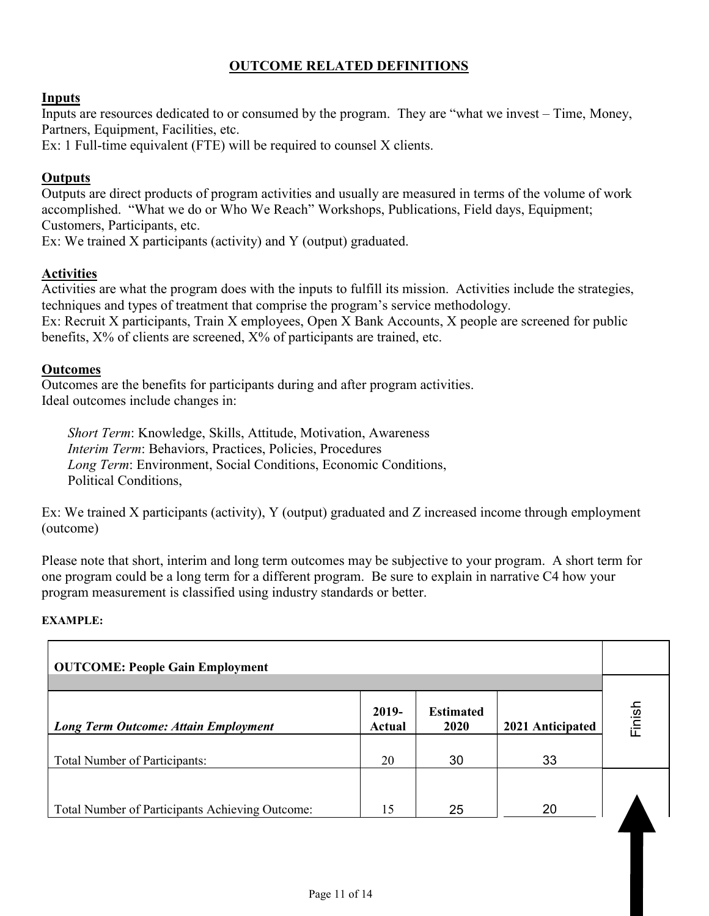## **OUTCOME RELATED DEFINITIONS**

#### **Inputs**

Inputs are resources dedicated to or consumed by the program. They are "what we invest – Time, Money, Partners, Equipment, Facilities, etc.

Ex: 1 Full-time equivalent (FTE) will be required to counsel X clients.

#### **Outputs**

Outputs are direct products of program activities and usually are measured in terms of the volume of work accomplished. "What we do or Who We Reach" Workshops, Publications, Field days, Equipment; Customers, Participants, etc.

Ex: We trained X participants (activity) and Y (output) graduated.

#### **Activities**

Activities are what the program does with the inputs to fulfill its mission. Activities include the strategies, techniques and types of treatment that comprise the program's service methodology. Ex: Recruit X participants, Train X employees, Open X Bank Accounts, X people are screened for public

benefits, X% of clients are screened, X% of participants are trained, etc.

#### **Outcomes**

Outcomes are the benefits for participants during and after program activities. Ideal outcomes include changes in:

*Short Term*: Knowledge, Skills, Attitude, Motivation, Awareness *Interim Term: Behaviors, Practices, Policies, Procedures Long Term*: Environment, Social Conditions, Economic Conditions, Political Conditions,

Ex: We trained X participants (activity), Y (output) graduated and Z increased income through employment (outcome)

Please note that short, interim and long term outcomes may be subjective to your program. A short term for one program could be a long term for a different program. Be sure to explain in narrative C4 how your program measurement is classified using industry standards or better.

#### **EXAMPLE:**

| <b>OUTCOME: People Gain Employment</b>          |        |      |                  |        |  |
|-------------------------------------------------|--------|------|------------------|--------|--|
| 2019-<br><b>Estimated</b>                       |        |      |                  |        |  |
| <b>Long Term Outcome: Attain Employment</b>     | Actual | 2020 | 2021 Anticipated | Finish |  |
| <b>Total Number of Participants:</b>            | 20     | 30   | 33               |        |  |
|                                                 |        |      |                  |        |  |
| Total Number of Participants Achieving Outcome: | 15     | 25   | 20               |        |  |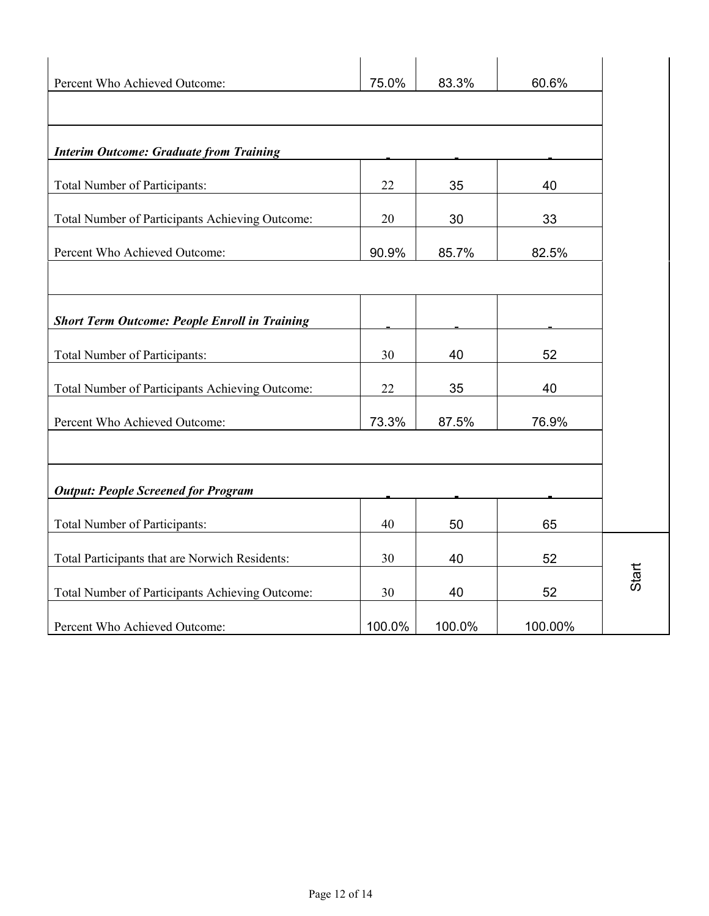| Percent Who Achieved Outcome:                        | 75.0%  | 83.3%  | 60.6%   |
|------------------------------------------------------|--------|--------|---------|
|                                                      |        |        |         |
| <b>Interim Outcome: Graduate from Training</b>       |        |        |         |
| <b>Total Number of Participants:</b>                 | 22     | 35     | 40      |
| Total Number of Participants Achieving Outcome:      | 20     | 30     | 33      |
| Percent Who Achieved Outcome:                        | 90.9%  | 85.7%  | 82.5%   |
|                                                      |        |        |         |
| <b>Short Term Outcome: People Enroll in Training</b> |        |        |         |
| Total Number of Participants:                        | 30     | 40     | 52      |
| Total Number of Participants Achieving Outcome:      | 22     | 35     | 40      |
| Percent Who Achieved Outcome:                        | 73.3%  | 87.5%  | 76.9%   |
|                                                      |        |        |         |
| <b>Output: People Screened for Program</b>           |        |        |         |
| Total Number of Participants:                        | 40     | 50     | 65      |
| Total Participants that are Norwich Residents:       | 30     | 40     | 52      |
| Total Number of Participants Achieving Outcome:      | 30     | 40     | 52      |
| Percent Who Achieved Outcome:                        | 100.0% | 100.0% | 100.00% |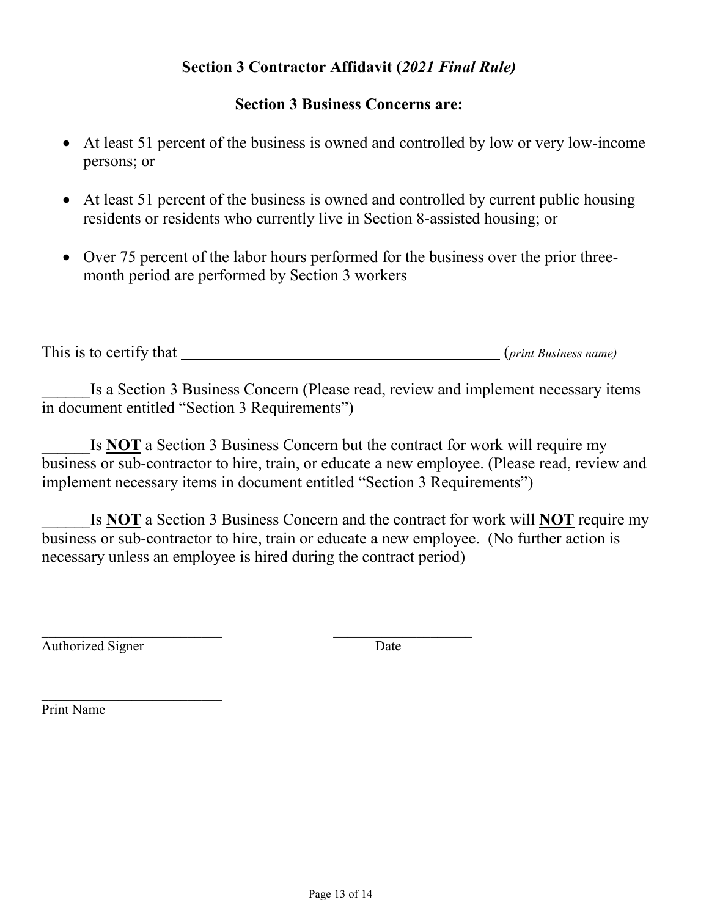# **Section 3 Contractor Affidavit (***2021 Final Rule)*

# **Section 3 Business Concerns are:**

- At least 51 percent of the business is owned and controlled by low or very low-income persons; or
- At least 51 percent of the business is owned and controlled by current public housing residents or residents who currently live in Section 8-assisted housing; or
- Over 75 percent of the labor hours performed for the business over the prior threemonth period are performed by Section 3 workers

This is to certify that (*print Business name)*

Is a Section 3 Business Concern (Please read, review and implement necessary items in document entitled "Section 3 Requirements")

Is **NOT** a Section 3 Business Concern but the contract for work will require my business or sub-contractor to hire, train, or educate a new employee. (Please read, review and implement necessary items in document entitled "Section 3 Requirements")

Is **NOT** a Section 3 Business Concern and the contract for work will **NOT** require my business or sub-contractor to hire, train or educate a new employee. (No further action is necessary unless an employee is hired during the contract period)

Authorized Signer Date

\_\_\_\_\_\_\_\_\_\_\_\_\_\_\_\_\_\_\_\_\_\_\_\_\_\_

Print Name